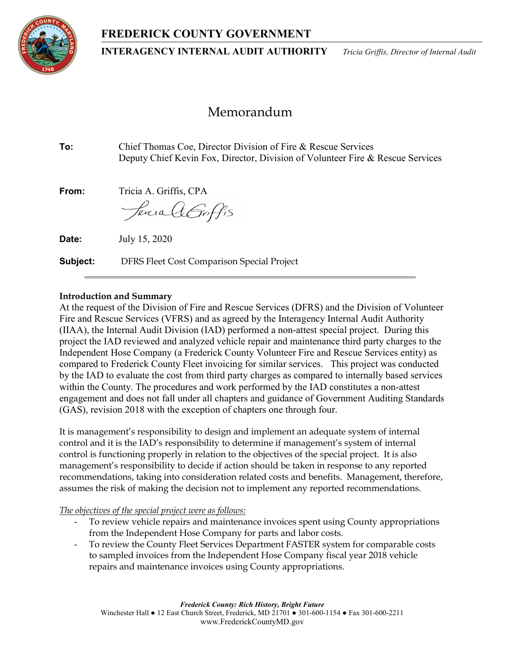## FREDERICK COUNTY GOVERNMENT



INTERAGENCY INTERNAL AUDIT AUTHORITY Tricia Griffis, Director of Internal Audit

# Memorandum

To: Chief Thomas Coe, Director Division of Fire & Rescue Services Deputy Chief Kevin Fox, Director, Division of Volunteer Fire & Rescue Services From: Tricia A. Griffis, CPA *ferica A Griffis* **Date:** July 15, 2020 **Subject:** DFRS Fleet Cost Comparison Special Project

## Introduction and Summary

At the request of the Division of Fire and Rescue Services (DFRS) and the Division of Volunteer Fire and Rescue Services (VFRS) and as agreed by the Interagency Internal Audit Authority (IIAA), the Internal Audit Division (IAD) performed a non-attest special project. During this project the IAD reviewed and analyzed vehicle repair and maintenance third party charges to the Independent Hose Company (a Frederick County Volunteer Fire and Rescue Services entity) as compared to Frederick County Fleet invoicing for similar services. This project was conducted by the IAD to evaluate the cost from third party charges as compared to internally based services within the County. The procedures and work performed by the IAD constitutes a non-attest engagement and does not fall under all chapters and guidance of Government Auditing Standards (GAS), revision 2018 with the exception of chapters one through four.

It is management's responsibility to design and implement an adequate system of internal control and it is the IAD's responsibility to determine if management's system of internal control is functioning properly in relation to the objectives of the special project. It is also management's responsibility to decide if action should be taken in response to any reported recommendations, taking into consideration related costs and benefits. Management, therefore, assumes the risk of making the decision not to implement any reported recommendations.

The objectives of the special project were as follows:

- To review vehicle repairs and maintenance invoices spent using County appropriations from the Independent Hose Company for parts and labor costs.
- To review the County Fleet Services Department FASTER system for comparable costs to sampled invoices from the Independent Hose Company fiscal year 2018 vehicle repairs and maintenance invoices using County appropriations.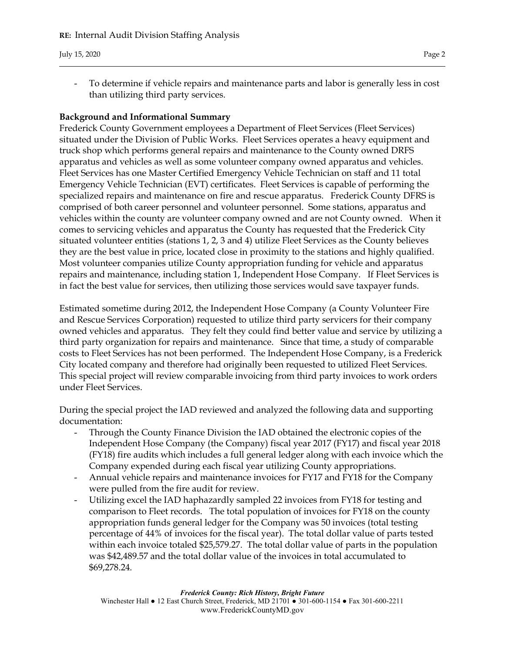- To determine if vehicle repairs and maintenance parts and labor is generally less in cost than utilizing third party services.

## Background and Informational Summary

Frederick County Government employees a Department of Fleet Services (Fleet Services) situated under the Division of Public Works. Fleet Services operates a heavy equipment and truck shop which performs general repairs and maintenance to the County owned DRFS apparatus and vehicles as well as some volunteer company owned apparatus and vehicles. Fleet Services has one Master Certified Emergency Vehicle Technician on staff and 11 total Emergency Vehicle Technician (EVT) certificates. Fleet Services is capable of performing the specialized repairs and maintenance on fire and rescue apparatus. Frederick County DFRS is comprised of both career personnel and volunteer personnel. Some stations, apparatus and vehicles within the county are volunteer company owned and are not County owned. When it comes to servicing vehicles and apparatus the County has requested that the Frederick City situated volunteer entities (stations 1, 2, 3 and 4) utilize Fleet Services as the County believes they are the best value in price, located close in proximity to the stations and highly qualified. Most volunteer companies utilize County appropriation funding for vehicle and apparatus repairs and maintenance, including station 1, Independent Hose Company. If Fleet Services is in fact the best value for services, then utilizing those services would save taxpayer funds.

Estimated sometime during 2012, the Independent Hose Company (a County Volunteer Fire and Rescue Services Corporation) requested to utilize third party servicers for their company owned vehicles and apparatus. They felt they could find better value and service by utilizing a third party organization for repairs and maintenance. Since that time, a study of comparable costs to Fleet Services has not been performed. The Independent Hose Company, is a Frederick City located company and therefore had originally been requested to utilized Fleet Services. This special project will review comparable invoicing from third party invoices to work orders under Fleet Services.

During the special project the IAD reviewed and analyzed the following data and supporting documentation:

- Through the County Finance Division the IAD obtained the electronic copies of the Independent Hose Company (the Company) fiscal year 2017 (FY17) and fiscal year 2018 (FY18) fire audits which includes a full general ledger along with each invoice which the Company expended during each fiscal year utilizing County appropriations.
- Annual vehicle repairs and maintenance invoices for FY17 and FY18 for the Company were pulled from the fire audit for review.
- Utilizing excel the IAD haphazardly sampled 22 invoices from FY18 for testing and comparison to Fleet records. The total population of invoices for FY18 on the county appropriation funds general ledger for the Company was 50 invoices (total testing percentage of 44% of invoices for the fiscal year). The total dollar value of parts tested within each invoice totaled \$25,579.27. The total dollar value of parts in the population was \$42,489.57 and the total dollar value of the invoices in total accumulated to \$69,278.24.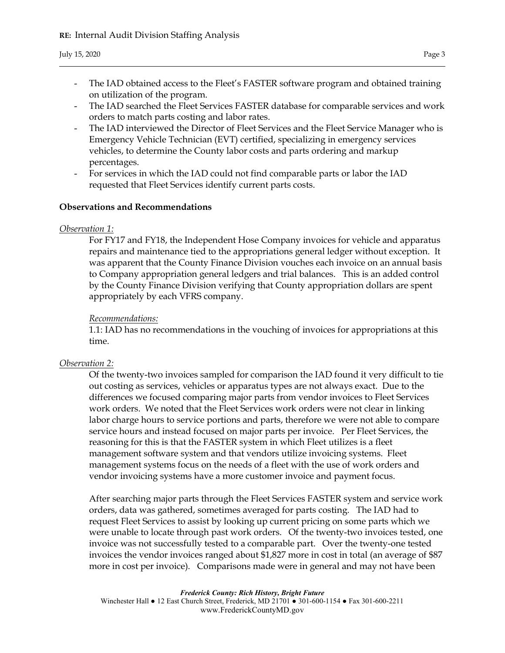- The IAD obtained access to the Fleet's FASTER software program and obtained training on utilization of the program.
- The IAD searched the Fleet Services FASTER database for comparable services and work orders to match parts costing and labor rates.
- The IAD interviewed the Director of Fleet Services and the Fleet Service Manager who is Emergency Vehicle Technician (EVT) certified, specializing in emergency services vehicles, to determine the County labor costs and parts ordering and markup percentages.
- For services in which the IAD could not find comparable parts or labor the IAD requested that Fleet Services identify current parts costs.

## Observations and Recommendations

## Observation 1:

For FY17 and FY18, the Independent Hose Company invoices for vehicle and apparatus repairs and maintenance tied to the appropriations general ledger without exception. It was apparent that the County Finance Division vouches each invoice on an annual basis to Company appropriation general ledgers and trial balances. This is an added control by the County Finance Division verifying that County appropriation dollars are spent appropriately by each VFRS company.

## Recommendations:

1.1: IAD has no recommendations in the vouching of invoices for appropriations at this time.

## Observation 2:

Of the twenty-two invoices sampled for comparison the IAD found it very difficult to tie out costing as services, vehicles or apparatus types are not always exact. Due to the differences we focused comparing major parts from vendor invoices to Fleet Services work orders. We noted that the Fleet Services work orders were not clear in linking labor charge hours to service portions and parts, therefore we were not able to compare service hours and instead focused on major parts per invoice. Per Fleet Services, the reasoning for this is that the FASTER system in which Fleet utilizes is a fleet management software system and that vendors utilize invoicing systems. Fleet management systems focus on the needs of a fleet with the use of work orders and vendor invoicing systems have a more customer invoice and payment focus.

After searching major parts through the Fleet Services FASTER system and service work orders, data was gathered, sometimes averaged for parts costing. The IAD had to request Fleet Services to assist by looking up current pricing on some parts which we were unable to locate through past work orders. Of the twenty-two invoices tested, one invoice was not successfully tested to a comparable part. Over the twenty-one tested invoices the vendor invoices ranged about \$1,827 more in cost in total (an average of \$87 more in cost per invoice). Comparisons made were in general and may not have been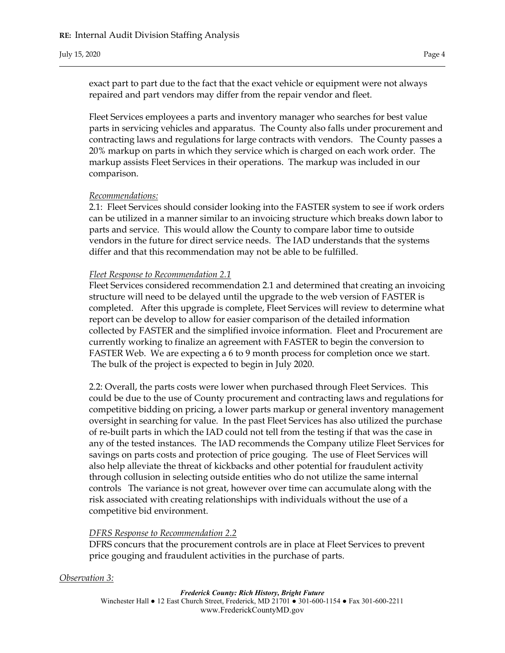exact part to part due to the fact that the exact vehicle or equipment were not always repaired and part vendors may differ from the repair vendor and fleet.

Fleet Services employees a parts and inventory manager who searches for best value parts in servicing vehicles and apparatus. The County also falls under procurement and contracting laws and regulations for large contracts with vendors. The County passes a 20% markup on parts in which they service which is charged on each work order. The markup assists Fleet Services in their operations. The markup was included in our comparison.

#### Recommendations:

2.1: Fleet Services should consider looking into the FASTER system to see if work orders can be utilized in a manner similar to an invoicing structure which breaks down labor to parts and service. This would allow the County to compare labor time to outside vendors in the future for direct service needs. The IAD understands that the systems differ and that this recommendation may not be able to be fulfilled.

#### Fleet Response to Recommendation 2.1

Fleet Services considered recommendation 2.1 and determined that creating an invoicing structure will need to be delayed until the upgrade to the web version of FASTER is completed. After this upgrade is complete, Fleet Services will review to determine what report can be develop to allow for easier comparison of the detailed information collected by FASTER and the simplified invoice information. Fleet and Procurement are currently working to finalize an agreement with FASTER to begin the conversion to FASTER Web. We are expecting a 6 to 9 month process for completion once we start. The bulk of the project is expected to begin in July 2020.

2.2: Overall, the parts costs were lower when purchased through Fleet Services. This could be due to the use of County procurement and contracting laws and regulations for competitive bidding on pricing, a lower parts markup or general inventory management oversight in searching for value. In the past Fleet Services has also utilized the purchase of re-built parts in which the IAD could not tell from the testing if that was the case in any of the tested instances. The IAD recommends the Company utilize Fleet Services for savings on parts costs and protection of price gouging. The use of Fleet Services will also help alleviate the threat of kickbacks and other potential for fraudulent activity through collusion in selecting outside entities who do not utilize the same internal controls The variance is not great, however over time can accumulate along with the risk associated with creating relationships with individuals without the use of a competitive bid environment.

## DFRS Response to Recommendation 2.2

DFRS concurs that the procurement controls are in place at Fleet Services to prevent price gouging and fraudulent activities in the purchase of parts.

#### Observation 3: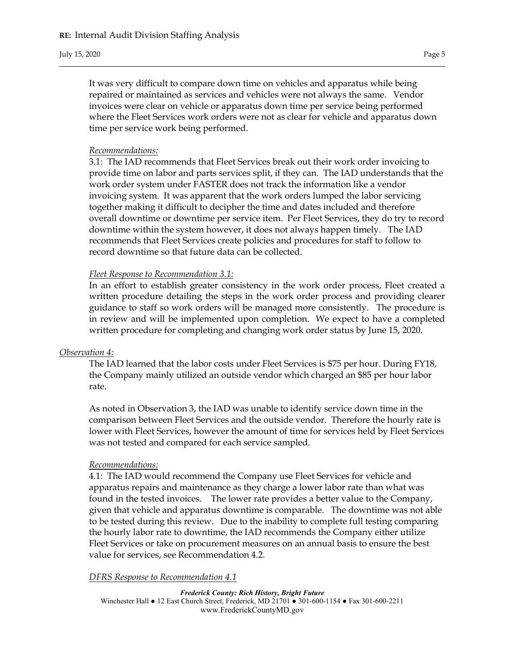It was very difficult to compare down time on vehicles and apparatus while being repaired or maintained as services and vehicles were not always the same. Vendor invoices were clear on vehicle or apparatus down time per service being performed where the Fleet Services work orders were not as clear for vehicle and apparatus down time per service work being performed.

#### Recommendations:

3.1: The IAD recommends that Fleet Services break out their work order invoicing to provide time on labor and parts services split, if they can. The IAD understands that the work order system under FASTER does not track the information like a vendor invoicing system. It was apparent that the work orders lumped the labor servicing together making it difficult to decipher the time and dates included and therefore overall downtime or downtime per service item. Per Fleet Services, they do try to record downtime within the system however, it does not always happen timely. The IAD recommends that Fleet Services create policies and procedures for staff to follow to record downtime so that future data can be collected.

## Fleet Response to Recommendation 3.1:

In an effort to establish greater consistency in the work order process, Fleet created a written procedure detailing the steps in the work order process and providing clearer guidance to staff so work orders will be managed more consistently. The procedure is in review and will be implemented upon completion. We expect to have a completed written procedure for completing and changing work order status by June 15, 2020.

## Observation 4:

The IAD learned that the labor costs under Fleet Services is \$75 per hour. During FY18, the Company mainly utilized an outside vendor which charged an \$85 per hour labor rate.

As noted in Observation 3, the IAD was unable to identify service down time in the comparison between Fleet Services and the outside vendor. Therefore the hourly rate is lower with Fleet Services, however the amount of time for services held by Fleet Services was not tested and compared for each service sampled.

#### Recommendations:

4.1: The IAD would recommend the Company use Fleet Services for vehicle and apparatus repairs and maintenance as they charge a lower labor rate than what was found in the tested invoices. The lower rate provides a better value to the Company, given that vehicle and apparatus downtime is comparable. The downtime was not able to be tested during this review. Due to the inability to complete full testing comparing the hourly labor rate to downtime, the IAD recommends the Company either utilize Fleet Services or take on procurement measures on an annual basis to ensure the best value for services, see Recommendation 4.2.

## DFRS Response to Recommendation 4.1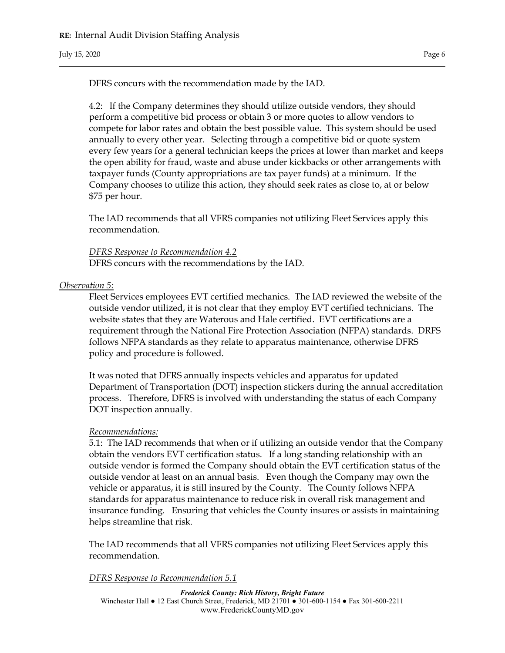DFRS concurs with the recommendation made by the IAD.

4.2: If the Company determines they should utilize outside vendors, they should perform a competitive bid process or obtain 3 or more quotes to allow vendors to compete for labor rates and obtain the best possible value. This system should be used annually to every other year. Selecting through a competitive bid or quote system every few years for a general technician keeps the prices at lower than market and keeps the open ability for fraud, waste and abuse under kickbacks or other arrangements with taxpayer funds (County appropriations are tax payer funds) at a minimum. If the Company chooses to utilize this action, they should seek rates as close to, at or below \$75 per hour.

The IAD recommends that all VFRS companies not utilizing Fleet Services apply this recommendation.

DFRS Response to Recommendation 4.2 DFRS concurs with the recommendations by the IAD.

#### Observation 5:

Fleet Services employees EVT certified mechanics. The IAD reviewed the website of the outside vendor utilized, it is not clear that they employ EVT certified technicians. The website states that they are Waterous and Hale certified. EVT certifications are a requirement through the National Fire Protection Association (NFPA) standards. DRFS follows NFPA standards as they relate to apparatus maintenance, otherwise DFRS policy and procedure is followed.

It was noted that DFRS annually inspects vehicles and apparatus for updated Department of Transportation (DOT) inspection stickers during the annual accreditation process. Therefore, DFRS is involved with understanding the status of each Company DOT inspection annually.

#### Recommendations:

5.1: The IAD recommends that when or if utilizing an outside vendor that the Company obtain the vendors EVT certification status. If a long standing relationship with an outside vendor is formed the Company should obtain the EVT certification status of the outside vendor at least on an annual basis. Even though the Company may own the vehicle or apparatus, it is still insured by the County. The County follows NFPA standards for apparatus maintenance to reduce risk in overall risk management and insurance funding. Ensuring that vehicles the County insures or assists in maintaining helps streamline that risk.

The IAD recommends that all VFRS companies not utilizing Fleet Services apply this recommendation.

DFRS Response to Recommendation 5.1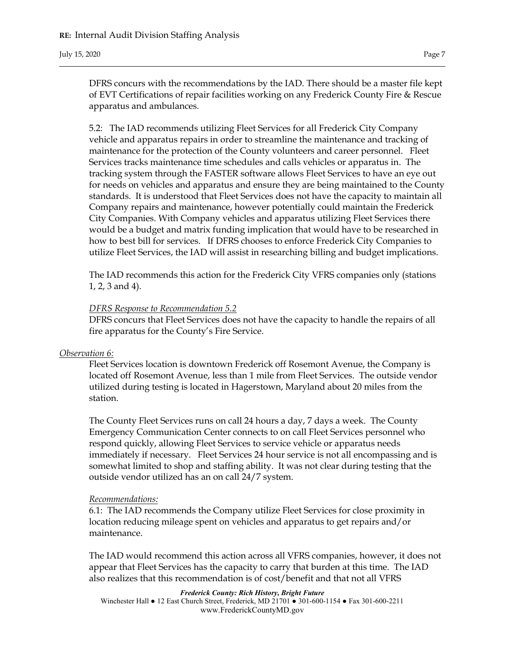DFRS concurs with the recommendations by the IAD. There should be a master file kept of EVT Certifications of repair facilities working on any Frederick County Fire & Rescue apparatus and ambulances.

5.2: The IAD recommends utilizing Fleet Services for all Frederick City Company vehicle and apparatus repairs in order to streamline the maintenance and tracking of maintenance for the protection of the County volunteers and career personnel. Fleet Services tracks maintenance time schedules and calls vehicles or apparatus in. The tracking system through the FASTER software allows Fleet Services to have an eye out for needs on vehicles and apparatus and ensure they are being maintained to the County standards. It is understood that Fleet Services does not have the capacity to maintain all Company repairs and maintenance, however potentially could maintain the Frederick City Companies. With Company vehicles and apparatus utilizing Fleet Services there would be a budget and matrix funding implication that would have to be researched in how to best bill for services. If DFRS chooses to enforce Frederick City Companies to utilize Fleet Services, the IAD will assist in researching billing and budget implications.

The IAD recommends this action for the Frederick City VFRS companies only (stations 1, 2, 3 and 4).

#### DFRS Response to Recommendation 5.2

DFRS concurs that Fleet Services does not have the capacity to handle the repairs of all fire apparatus for the County's Fire Service.

#### Observation 6:

Fleet Services location is downtown Frederick off Rosemont Avenue, the Company is located off Rosemont Avenue, less than 1 mile from Fleet Services. The outside vendor utilized during testing is located in Hagerstown, Maryland about 20 miles from the station.

The County Fleet Services runs on call 24 hours a day, 7 days a week. The County Emergency Communication Center connects to on call Fleet Services personnel who respond quickly, allowing Fleet Services to service vehicle or apparatus needs immediately if necessary. Fleet Services 24 hour service is not all encompassing and is somewhat limited to shop and staffing ability. It was not clear during testing that the outside vendor utilized has an on call 24/7 system.

#### Recommendations:

6.1: The IAD recommends the Company utilize Fleet Services for close proximity in location reducing mileage spent on vehicles and apparatus to get repairs and/or maintenance.

The IAD would recommend this action across all VFRS companies, however, it does not appear that Fleet Services has the capacity to carry that burden at this time. The IAD also realizes that this recommendation is of cost/benefit and that not all VFRS